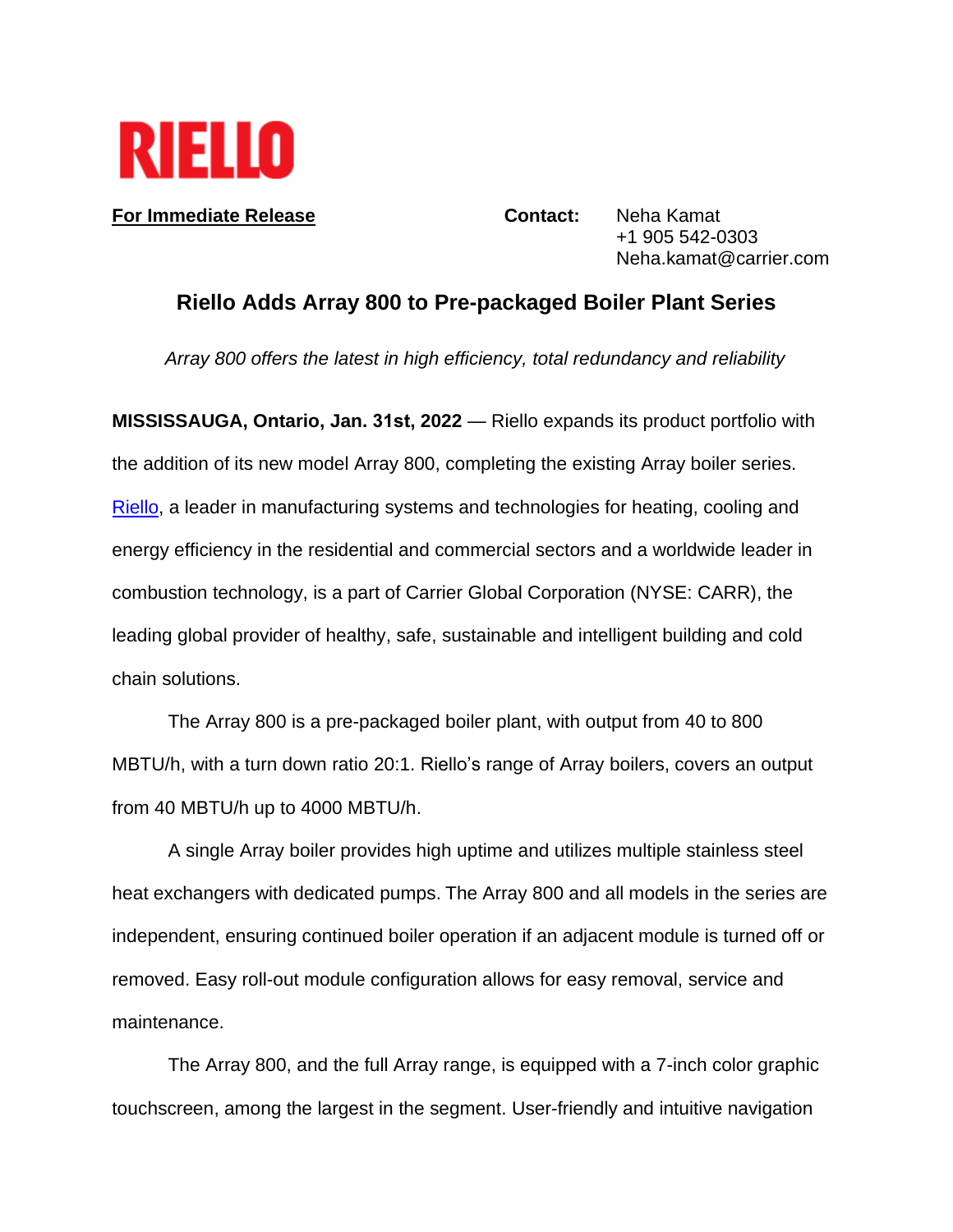

**For Immediate Release <b>Contact:** Neha Kamat +1 905 542-0303 Neha.kamat@carrier.com

## **Riello Adds Array 800 to Pre-packaged Boiler Plant Series**

*Array 800 offers the latest in high efficiency, total redundancy and reliability* 

**MISSISSAUGA, Ontario, Jan. 31st, 2022** — Riello expands its product portfolio with the addition of its new model Array 800, completing the existing Array boiler se[ries.](http://www.riello.com/)  Riello, a leader in manufacturing systems and technologies for heating, cooling and energy efficiency in the residential and commercial sectors and a worldwide leader in combustion technology, is a part of Carrier Global Corporation (NYSE: CARR), the leading global provider of healthy, safe, sustainable and intelligent building and cold chain solutions.

The Array 800 is a pre-packaged boiler plant, with output from 40 to 800 MBTU/h, with a turn down ratio 20:1. Riello's range of Array boilers, covers an output from 40 MBTU/h up to 4000 MBTU/h.

A single Array boiler provides high uptime and utilizes multiple stainless steel heat exchangers with dedicated pumps. The Array 800 and all models in the series are independent, ensuring continued boiler operation if an adjacent module is turned off or removed. Easy roll-out module configuration allows for easy removal, service and maintenance.

The Array 800, and the full Array range, is equipped with a 7-inch color graphic touchscreen, among the largest in the segment. User-friendly and intuitive navigation